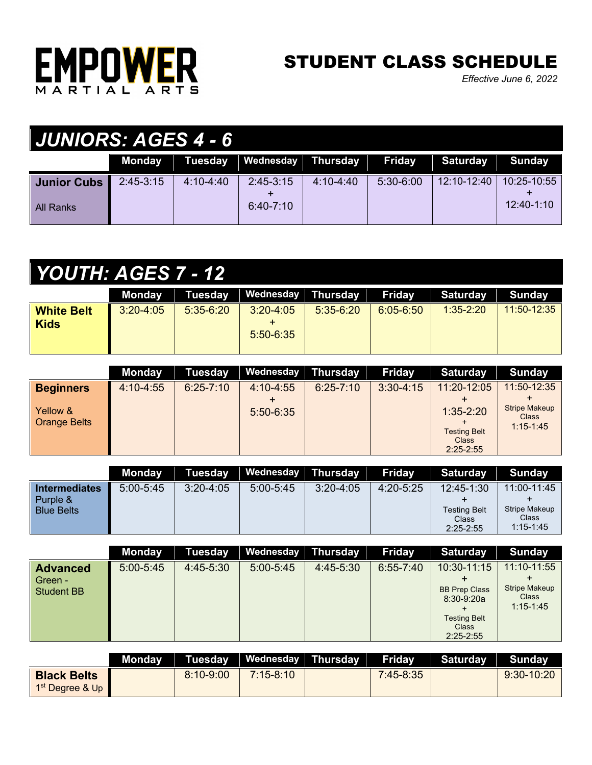

## STUDENT CLASS SCHEDULE

*Effective June 6, 2022*

| <b>JUNIORS: AGES 4 - 6</b> |             |               |                    |               |               |                 |               |  |  |
|----------------------------|-------------|---------------|--------------------|---------------|---------------|-----------------|---------------|--|--|
|                            | Monday      | Tuesday       | Wednesday Thursday |               | <b>Friday</b> | <b>Saturday</b> | <b>Sunday</b> |  |  |
| <b>Junior Cubs</b>         | $2:45-3:15$ | $4:10 - 4:40$ | $2:45-3:15$        | $4:10 - 4:40$ | $5:30-6:00$   | 12:10-12:40     | 10:25-10:55   |  |  |
| l All Ranks                |             |               | $6:40 - 7:10$      |               |               |                 | $12:40-1:10$  |  |  |

| <b>YOUTH: AGES 7 - 12</b> |
|---------------------------|
|---------------------------|

|                   | Mondav        |             | Tuesday   Wednesday   Thursday |             | Fridav        | Saturday Sunday |               |
|-------------------|---------------|-------------|--------------------------------|-------------|---------------|-----------------|---------------|
| <b>White Belt</b> | $3:20 - 4:05$ | $5:35-6:20$ | $3:20 - 4:05$                  | $5:35-6:20$ | $6:05 - 6:50$ | $1:35-2:20$     | $11:50-12:35$ |
| <b>Kids</b>       |               |             |                                |             |               |                 |               |
|                   |               |             | $5:50-6:35$                    |             |               |                 |               |
|                   |               |             |                                |             |               |                 |               |

|                                 | <b>Monday</b> | <b>Tuesday</b> | Wednesday Thursday |               | <b>Friday</b> | <b>Saturday</b>                                                | <b>Sunday</b>                                         |
|---------------------------------|---------------|----------------|--------------------|---------------|---------------|----------------------------------------------------------------|-------------------------------------------------------|
| <b>Beginners</b>                | $4:10 - 4:55$ | $6:25 - 7:10$  | $4:10 - 4:55$      | $6:25 - 7:10$ | $3:30-4:15$   | 11:20-12:05                                                    | 11:50-12:35                                           |
| Yellow &<br><b>Orange Belts</b> |               |                | $5:50-6:35$        |               |               | $1:35 - 2:20$<br><b>Testing Belt</b><br>Class<br>$2:25 - 2:55$ | <b>Stripe Makeup</b><br><b>Class</b><br>$1:15 - 1:45$ |

|                                                       | Mondav      | Tuesday       | Wednesday Thursday |             | Friday      | Saturday                                                      | Sundav                                                        |
|-------------------------------------------------------|-------------|---------------|--------------------|-------------|-------------|---------------------------------------------------------------|---------------------------------------------------------------|
| <b>Intermediates</b><br>Purple &<br><b>Blue Belts</b> | $5:00-5:45$ | $3:20 - 4:05$ | $5:00 - 5:45$      | $3:20-4:05$ | $4:20-5:25$ | $12:45-1:30$<br><b>Testing Belt</b><br>Class<br>$2:25 - 2:55$ | 11:00-11:45<br><b>Stripe Makeup</b><br>Class<br>$1:15 - 1:45$ |

|                                                 | <b>Monday</b> | <b>Tuesday</b> | Wednesday Thursday |           | <b>Friday</b> | <b>Saturday</b>                                                                     | Sunday                                                        |
|-------------------------------------------------|---------------|----------------|--------------------|-----------|---------------|-------------------------------------------------------------------------------------|---------------------------------------------------------------|
| <b>Advanced</b><br>Green -<br><b>Student BB</b> | $5:00 - 5:45$ | $4:45-5:30$    | $5:00 - 5:45$      | 4:45-5:30 | $6:55 - 7:40$ | 10:30-11:15<br><b>BB Prep Class</b><br>$8:30-9:20a$<br><b>Testing Belt</b><br>Class | 11:10-11:55<br><b>Stripe Makeup</b><br>Class<br>$1:15 - 1:45$ |
|                                                 |               |                |                    |           |               | $2:25 - 2:55$                                                                       |                                                               |

|                                                   | Mondav |               | Tuesday   Wednesday   Thursday | Friday      | Saturday | Sundav       |
|---------------------------------------------------|--------|---------------|--------------------------------|-------------|----------|--------------|
| <b>Black Belts</b><br>1 <sup>st</sup> Dearee & Up |        | $8:10 - 9:00$ | $7:15-8:10$                    | $7:45-8:35$ |          | $9:30-10:20$ |